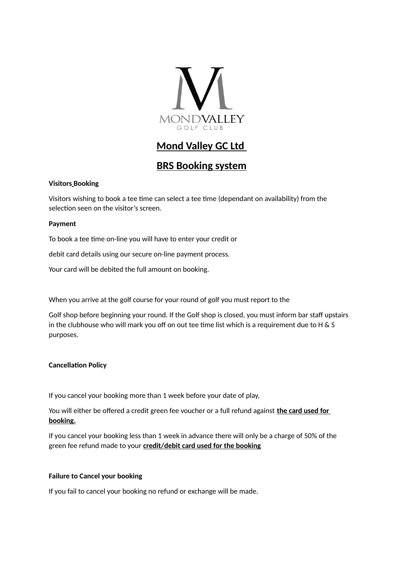

# **Mond Valley GC Ltd**

# **BRS Booking system**

# **Visitors Booking**

Visitors wishing to book a tee time can select a tee time (dependant on availability) from the selection seen on the visitor's screen.

# **Payment**

To book a tee time on-line you will have to enter your credit or

debit card details using our secure on-line payment process.

Your card will be debited the full amount on booking.

When you arrive at the golf course for your round of golf you must report to the

Golf shop before beginning your round. If the Golf shop is closed, you must inform bar staff upstairs in the clubhouse who will mark you off on out tee time list which is a requirement due to H & S purposes.

# **Cancellation Policy**

If you cancel your booking more than 1 week before your date of play,

You will either be offered a credit green fee voucher or a full refund against **the card used for booking.**

If you cancel your booking less than 1 week in advance there will only be a charge of 50% of the green fee refund made to your **credit/debit card used for the booking**

#### **Failure to Cancel your booking**

If you fail to cancel your booking no refund or exchange will be made.